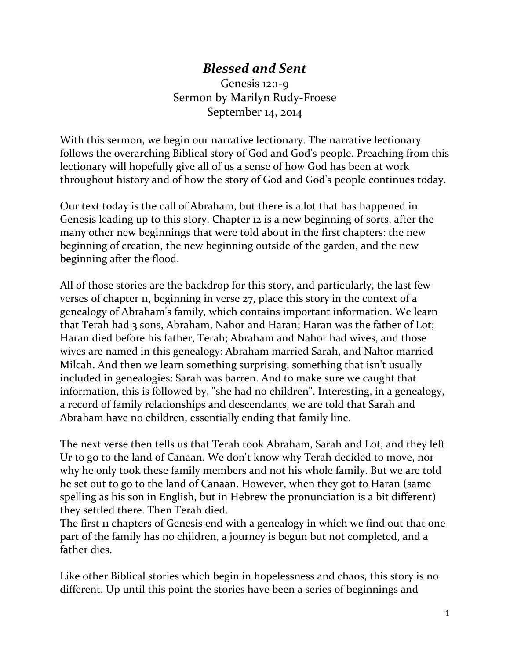## *Blessed and Sent*

Genesis 12:1-9 Sermon by Marilyn Rudy-Froese September 14, 2014

With this sermon, we begin our narrative lectionary. The narrative lectionary follows the overarching Biblical story of God and God's people. Preaching from this lectionary will hopefully give all of us a sense of how God has been at work throughout history and of how the story of God and God's people continues today.

Our text today is the call of Abraham, but there is a lot that has happened in Genesis leading up to this story. Chapter 12 is a new beginning of sorts, after the many other new beginnings that were told about in the first chapters: the new beginning of creation, the new beginning outside of the garden, and the new beginning after the flood.

All of those stories are the backdrop for this story, and particularly, the last few verses of chapter 11, beginning in verse 27, place this story in the context of a genealogy of Abraham's family, which contains important information. We learn that Terah had 3 sons, Abraham, Nahor and Haran; Haran was the father of Lot; Haran died before his father, Terah; Abraham and Nahor had wives, and those wives are named in this genealogy: Abraham married Sarah, and Nahor married Milcah. And then we learn something surprising, something that isn't usually included in genealogies: Sarah was barren. And to make sure we caught that information, this is followed by, "she had no children". Interesting, in a genealogy, a record of family relationships and descendants, we are told that Sarah and Abraham have no children, essentially ending that family line.

The next verse then tells us that Terah took Abraham, Sarah and Lot, and they left Ur to go to the land of Canaan. We don't know why Terah decided to move, nor why he only took these family members and not his whole family. But we are told he set out to go to the land of Canaan. However, when they got to Haran (same spelling as his son in English, but in Hebrew the pronunciation is a bit different) they settled there. Then Terah died.

The first 11 chapters of Genesis end with a genealogy in which we find out that one part of the family has no children, a journey is begun but not completed, and a father dies.

Like other Biblical stories which begin in hopelessness and chaos, this story is no different. Up until this point the stories have been a series of beginnings and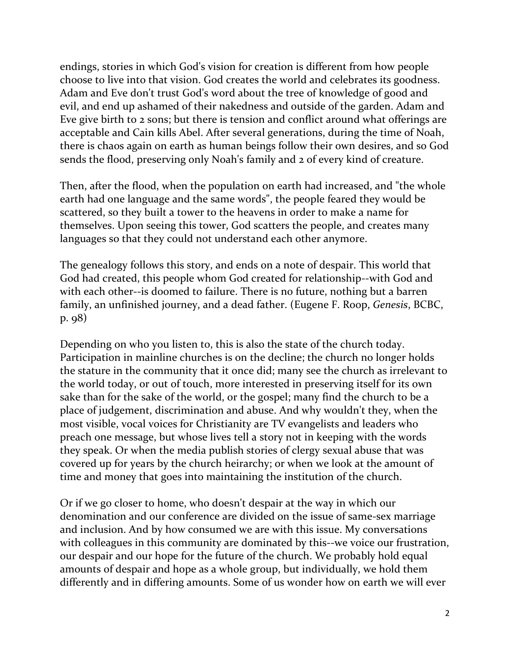endings, stories in which God's vision for creation is different from how people choose to live into that vision. God creates the world and celebrates its goodness. Adam and Eve don't trust God's word about the tree of knowledge of good and evil, and end up ashamed of their nakedness and outside of the garden. Adam and Eve give birth to 2 sons; but there is tension and conflict around what offerings are acceptable and Cain kills Abel. After several generations, during the time of Noah, there is chaos again on earth as human beings follow their own desires, and so God sends the flood, preserving only Noah's family and 2 of every kind of creature.

Then, after the flood, when the population on earth had increased, and "the whole earth had one language and the same words", the people feared they would be scattered, so they built a tower to the heavens in order to make a name for themselves. Upon seeing this tower, God scatters the people, and creates many languages so that they could not understand each other anymore.

The genealogy follows this story, and ends on a note of despair. This world that God had created, this people whom God created for relationship--with God and with each other--is doomed to failure. There is no future, nothing but a barren family, an unfinished journey, and a dead father. (Eugene F. Roop, *Genesis*, BCBC, p. 98)

Depending on who you listen to, this is also the state of the church today. Participation in mainline churches is on the decline; the church no longer holds the stature in the community that it once did; many see the church as irrelevant to the world today, or out of touch, more interested in preserving itself for its own sake than for the sake of the world, or the gospel; many find the church to be a place of judgement, discrimination and abuse. And why wouldn't they, when the most visible, vocal voices for Christianity are TV evangelists and leaders who preach one message, but whose lives tell a story not in keeping with the words they speak. Or when the media publish stories of clergy sexual abuse that was covered up for years by the church heirarchy; or when we look at the amount of time and money that goes into maintaining the institution of the church.

Or if we go closer to home, who doesn't despair at the way in which our denomination and our conference are divided on the issue of same-sex marriage and inclusion. And by how consumed we are with this issue. My conversations with colleagues in this community are dominated by this--we voice our frustration, our despair and our hope for the future of the church. We probably hold equal amounts of despair and hope as a whole group, but individually, we hold them differently and in differing amounts. Some of us wonder how on earth we will ever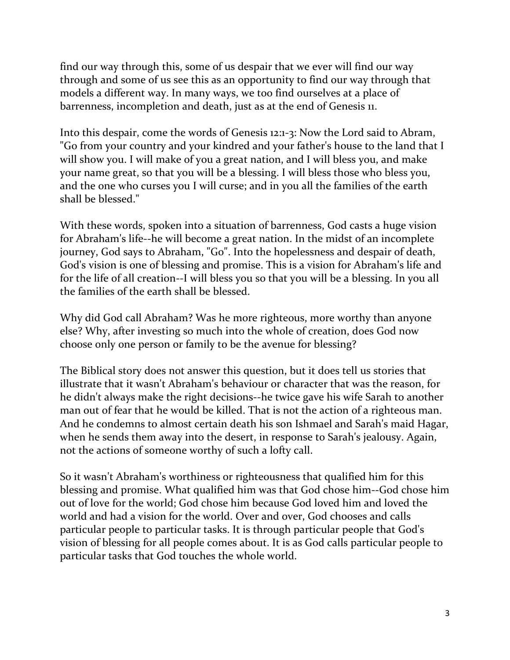find our way through this, some of us despair that we ever will find our way through and some of us see this as an opportunity to find our way through that models a different way. In many ways, we too find ourselves at a place of barrenness, incompletion and death, just as at the end of Genesis 11.

Into this despair, come the words of Genesis 12:1-3: Now the Lord said to Abram, "Go from your country and your kindred and your father's house to the land that I will show you. I will make of you a great nation, and I will bless you, and make your name great, so that you will be a blessing. I will bless those who bless you, and the one who curses you I will curse; and in you all the families of the earth shall be blessed."

With these words, spoken into a situation of barrenness, God casts a huge vision for Abraham's life--he will become a great nation. In the midst of an incomplete journey, God says to Abraham, "Go". Into the hopelessness and despair of death, God's vision is one of blessing and promise. This is a vision for Abraham's life and for the life of all creation--I will bless you so that you will be a blessing. In you all the families of the earth shall be blessed.

Why did God call Abraham? Was he more righteous, more worthy than anyone else? Why, after investing so much into the whole of creation, does God now choose only one person or family to be the avenue for blessing?

The Biblical story does not answer this question, but it does tell us stories that illustrate that it wasn't Abraham's behaviour or character that was the reason, for he didn't always make the right decisions--he twice gave his wife Sarah to another man out of fear that he would be killed. That is not the action of a righteous man. And he condemns to almost certain death his son Ishmael and Sarah's maid Hagar, when he sends them away into the desert, in response to Sarah's jealousy. Again, not the actions of someone worthy of such a lofty call.

So it wasn't Abraham's worthiness or righteousness that qualified him for this blessing and promise. What qualified him was that God chose him--God chose him out of love for the world; God chose him because God loved him and loved the world and had a vision for the world. Over and over, God chooses and calls particular people to particular tasks. It is through particular people that God's vision of blessing for all people comes about. It is as God calls particular people to particular tasks that God touches the whole world.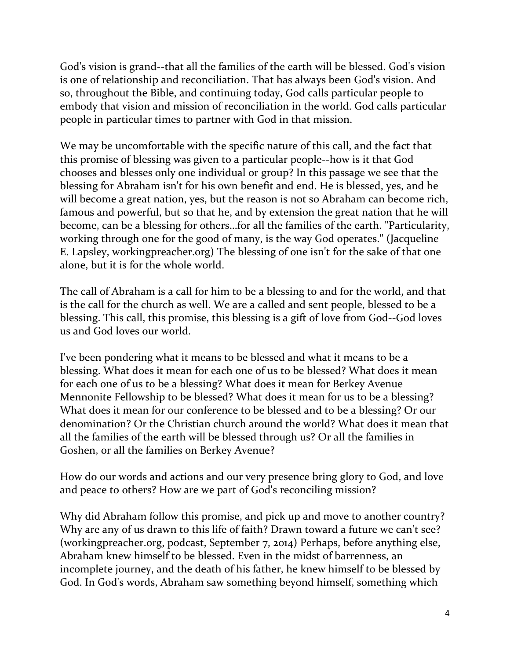God's vision is grand--that all the families of the earth will be blessed. God's vision is one of relationship and reconciliation. That has always been God's vision. And so, throughout the Bible, and continuing today, God calls particular people to embody that vision and mission of reconciliation in the world. God calls particular people in particular times to partner with God in that mission.

We may be uncomfortable with the specific nature of this call, and the fact that this promise of blessing was given to a particular people--how is it that God chooses and blesses only one individual or group? In this passage we see that the blessing for Abraham isn't for his own benefit and end. He is blessed, yes, and he will become a great nation, yes, but the reason is not so Abraham can become rich, famous and powerful, but so that he, and by extension the great nation that he will become, can be a blessing for others…for all the families of the earth. "Particularity, working through one for the good of many, is the way God operates." (Jacqueline E. Lapsley, workingpreacher.org) The blessing of one isn't for the sake of that one alone, but it is for the whole world.

The call of Abraham is a call for him to be a blessing to and for the world, and that is the call for the church as well. We are a called and sent people, blessed to be a blessing. This call, this promise, this blessing is a gift of love from God--God loves us and God loves our world.

I've been pondering what it means to be blessed and what it means to be a blessing. What does it mean for each one of us to be blessed? What does it mean for each one of us to be a blessing? What does it mean for Berkey Avenue Mennonite Fellowship to be blessed? What does it mean for us to be a blessing? What does it mean for our conference to be blessed and to be a blessing? Or our denomination? Or the Christian church around the world? What does it mean that all the families of the earth will be blessed through us? Or all the families in Goshen, or all the families on Berkey Avenue?

How do our words and actions and our very presence bring glory to God, and love and peace to others? How are we part of God's reconciling mission?

Why did Abraham follow this promise, and pick up and move to another country? Why are any of us drawn to this life of faith? Drawn toward a future we can't see? (workingpreacher.org, podcast, September 7, 2014) Perhaps, before anything else, Abraham knew himself to be blessed. Even in the midst of barrenness, an incomplete journey, and the death of his father, he knew himself to be blessed by God. In God's words, Abraham saw something beyond himself, something which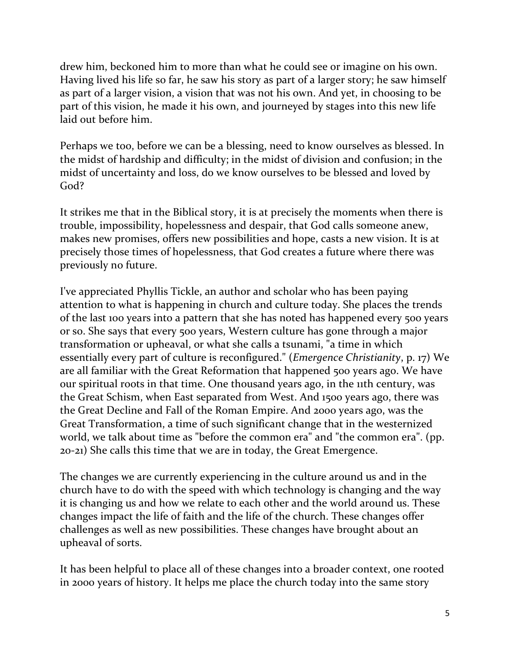drew him, beckoned him to more than what he could see or imagine on his own. Having lived his life so far, he saw his story as part of a larger story; he saw himself as part of a larger vision, a vision that was not his own. And yet, in choosing to be part of this vision, he made it his own, and journeyed by stages into this new life laid out before him.

Perhaps we too, before we can be a blessing, need to know ourselves as blessed. In the midst of hardship and difficulty; in the midst of division and confusion; in the midst of uncertainty and loss, do we know ourselves to be blessed and loved by God?

It strikes me that in the Biblical story, it is at precisely the moments when there is trouble, impossibility, hopelessness and despair, that God calls someone anew, makes new promises, offers new possibilities and hope, casts a new vision. It is at precisely those times of hopelessness, that God creates a future where there was previously no future.

I've appreciated Phyllis Tickle, an author and scholar who has been paying attention to what is happening in church and culture today. She places the trends of the last 100 years into a pattern that she has noted has happened every 500 years or so. She says that every 500 years, Western culture has gone through a major transformation or upheaval, or what she calls a tsunami, "a time in which essentially every part of culture is reconfigured." (*Emergence Christianity*, p. 17) We are all familiar with the Great Reformation that happened 500 years ago. We have our spiritual roots in that time. One thousand years ago, in the 11th century, was the Great Schism, when East separated from West. And 1500 years ago, there was the Great Decline and Fall of the Roman Empire. And 2000 years ago, was the Great Transformation, a time of such significant change that in the westernized world, we talk about time as "before the common era" and "the common era". (pp. 20-21) She calls this time that we are in today, the Great Emergence.

The changes we are currently experiencing in the culture around us and in the church have to do with the speed with which technology is changing and the way it is changing us and how we relate to each other and the world around us. These changes impact the life of faith and the life of the church. These changes offer challenges as well as new possibilities. These changes have brought about an upheaval of sorts.

It has been helpful to place all of these changes into a broader context, one rooted in 2000 years of history. It helps me place the church today into the same story